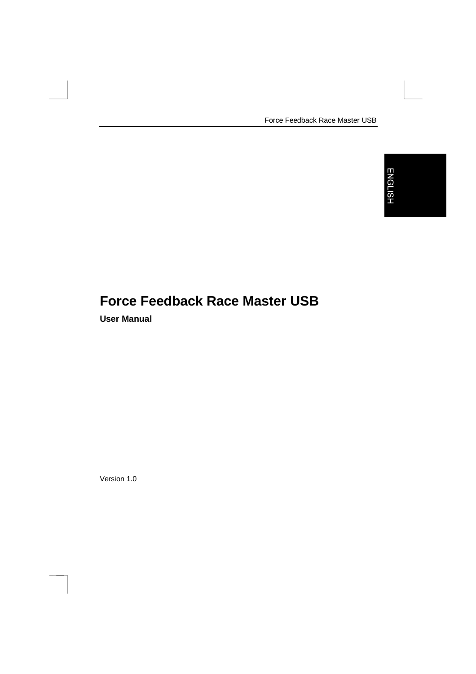Force Feedback Race Master USB

# **Force Feedback Race Master USB**

**User Manual**

Version 1.0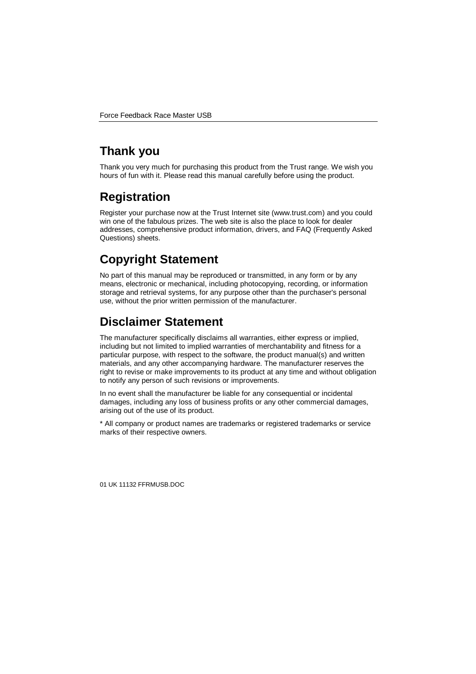## **Thank you**

Thank you very much for purchasing this product from the Trust range. We wish you hours of fun with it. Please read this manual carefully before using the product.

## **Registration**

Register your purchase now at the Trust Internet site (www.trust.com) and you could win one of the fabulous prizes. The web site is also the place to look for dealer addresses, comprehensive product information, drivers, and FAQ (Frequently Asked Questions) sheets.

# **Copyright Statement**

No part of this manual may be reproduced or transmitted, in any form or by any means, electronic or mechanical, including photocopying, recording, or information storage and retrieval systems, for any purpose other than the purchaser's personal use, without the prior written permission of the manufacturer.

## **Disclaimer Statement**

The manufacturer specifically disclaims all warranties, either express or implied, including but not limited to implied warranties of merchantability and fitness for a particular purpose, with respect to the software, the product manual(s) and written materials, and any other accompanying hardware. The manufacturer reserves the right to revise or make improvements to its product at any time and without obligation to notify any person of such revisions or improvements.

In no event shall the manufacturer be liable for any consequential or incidental damages, including any loss of business profits or any other commercial damages, arising out of the use of its product.

\* All company or product names are trademarks or registered trademarks or service marks of their respective owners.

01 UK 11132 FFRMUSB.DOC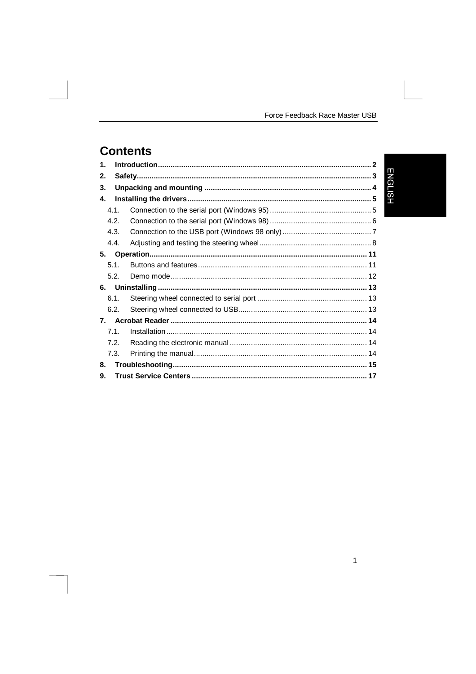$\mathbf{1}$ 

## **Contents**

| $\mathbf 1$ |                  |  |               |  |
|-------------|------------------|--|---------------|--|
| 2.          | E                |  |               |  |
| 3.          |                  |  | <b>NGLISH</b> |  |
| 4.          |                  |  |               |  |
|             | 4.1.             |  |               |  |
|             | 4.2.             |  |               |  |
|             | 4.3.             |  |               |  |
|             | 4.4.             |  |               |  |
| 5.          |                  |  |               |  |
|             | 5.1.             |  |               |  |
|             | 5.2.             |  |               |  |
| 6.          |                  |  |               |  |
|             | 6.1.             |  |               |  |
|             | 6.2.             |  |               |  |
| 7.          |                  |  |               |  |
|             | 71               |  |               |  |
|             | 7.2 <sub>1</sub> |  |               |  |
|             | 7.3.             |  |               |  |
| 8.          |                  |  |               |  |
| 9.          |                  |  |               |  |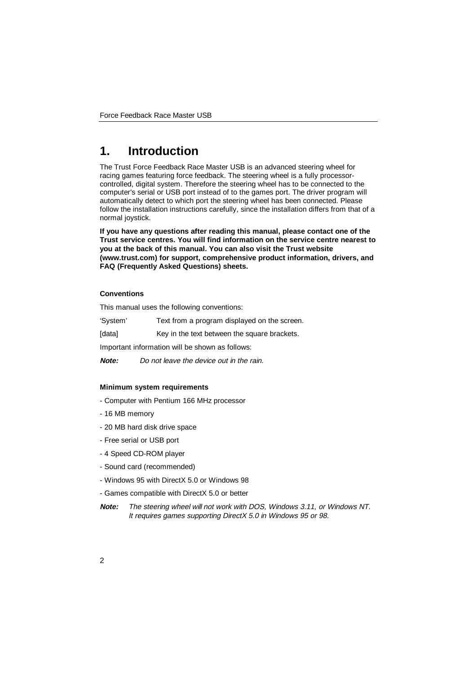## **1. Introduction**

The Trust Force Feedback Race Master USB is an advanced steering wheel for racing games featuring force feedback. The steering wheel is a fully processorcontrolled, digital system. Therefore the steering wheel has to be connected to the computer's serial or USB port instead of to the games port. The driver program will automatically detect to which port the steering wheel has been connected. Please follow the installation instructions carefully, since the installation differs from that of a normal joystick.

**If you have any questions after reading this manual, please contact one of the Trust service centres. You will find information on the service centre nearest to you at the back of this manual. You can also visit the Trust website (www.trust.com) for support, comprehensive product information, drivers, and FAQ (Frequently Asked Questions) sheets.**

#### **Conventions**

This manual uses the following conventions:

'System' Text from a program displayed on the screen.

[data] Key in the text between the square brackets.

Important information will be shown as follows:

**Note:** Do not leave the device out in the rain.

#### **Minimum system requirements**

- Computer with Pentium 166 MHz processor
- 16 MB memory
- 20 MB hard disk drive space
- Free serial or USB port
- 4 Speed CD-ROM player
- Sound card (recommended)
- Windows 95 with DirectX 5.0 or Windows 98
- Games compatible with DirectX 5.0 or better
- **Note:** The steering wheel will not work with DOS, Windows 3.11, or Windows NT. It requires games supporting DirectX 5.0 in Windows 95 or 98.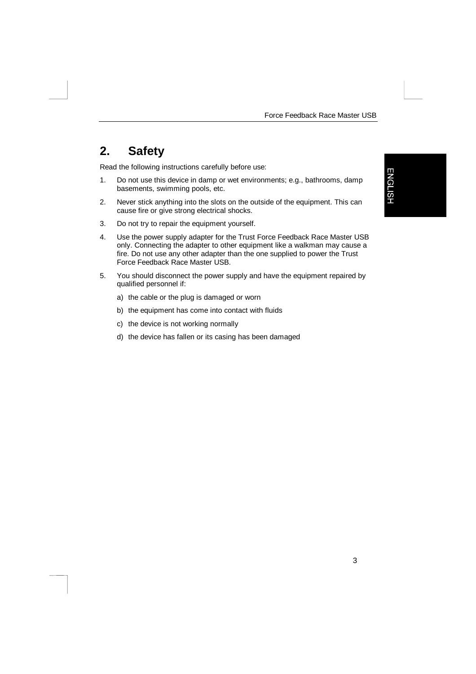## **2. Safety**

Read the following instructions carefully before use:

- 1. Do not use this device in damp or wet environments; e.g., bathrooms, damp basements, swimming pools, etc.
- 2. Never stick anything into the slots on the outside of the equipment. This can cause fire or give strong electrical shocks.
- 3. Do not try to repair the equipment yourself.
- 4. Use the power supply adapter for the Trust Force Feedback Race Master USB only. Connecting the adapter to other equipment like a walkman may cause a fire. Do not use any other adapter than the one supplied to power the Trust Force Feedback Race Master USB.
- 5. You should disconnect the power supply and have the equipment repaired by qualified personnel if:
	- a) the cable or the plug is damaged or worn
	- b) the equipment has come into contact with fluids
	- c) the device is not working normally
	- d) the device has fallen or its casing has been damaged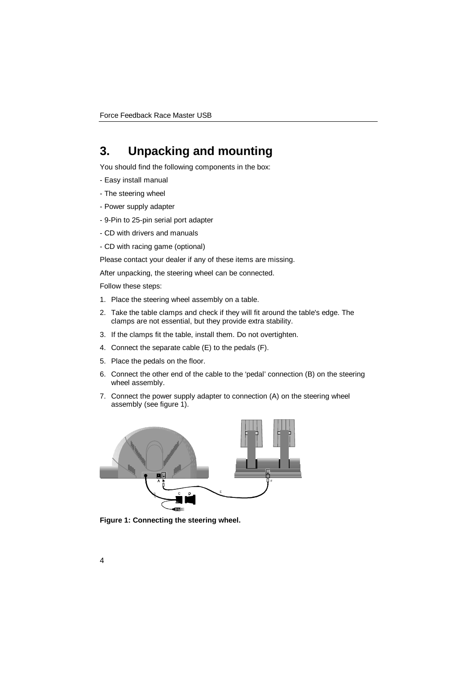## **3. Unpacking and mounting**

You should find the following components in the box:

- Easy install manual
- The steering wheel
- Power supply adapter
- 9-Pin to 25-pin serial port adapter
- CD with drivers and manuals
- CD with racing game (optional)

Please contact your dealer if any of these items are missing.

After unpacking, the steering wheel can be connected.

Follow these steps:

- 1. Place the steering wheel assembly on a table.
- 2. Take the table clamps and check if they will fit around the table's edge. The clamps are not essential, but they provide extra stability.
- 3. If the clamps fit the table, install them. Do not overtighten.
- 4. Connect the separate cable (E) to the pedals (F).
- 5. Place the pedals on the floor.
- 6. Connect the other end of the cable to the 'pedal' connection (B) on the steering wheel assembly.
- 7. Connect the power supply adapter to connection (A) on the steering wheel assembly (see figure 1).



**Figure 1: Connecting the steering wheel.**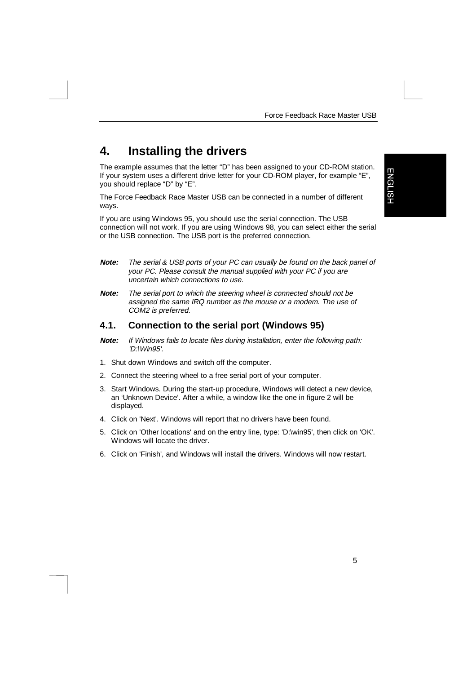## **4. Installing the drivers**

The example assumes that the letter "D" has been assigned to your CD-ROM station. If your system uses a different drive letter for your CD-ROM player, for example "E", you should replace "D" by "E".

The Force Feedback Race Master USB can be connected in a number of different ways.

**ENGLISH** 

If you are using Windows 95, you should use the serial connection. The USB connection will not work. If you are using Windows 98, you can select either the serial or the USB connection. The USB port is the preferred connection.

- **Note:** The serial & USB ports of your PC can usually be found on the back panel of your PC. Please consult the manual supplied with your PC if you are uncertain which connections to use.
- **Note:** The serial port to which the steering wheel is connected should not be assigned the same IRQ number as the mouse or a modem. The use of COM2 is preferred.

#### **4.1. Connection to the serial port (Windows 95)**

- **Note:** If Windows fails to locate files during installation, enter the following path: 'D:\Win95'.
- 1. Shut down Windows and switch off the computer.
- 2. Connect the steering wheel to a free serial port of your computer.
- 3. Start Windows. During the start-up procedure, Windows will detect a new device, an 'Unknown Device'. After a while, a window like the one in figure 2 will be displayed.
- 4. Click on 'Next'. Windows will report that no drivers have been found.
- 5. Click on 'Other locations' and on the entry line, type: 'D:\win95', then click on 'OK'. Windows will locate the driver.
- 6. Click on 'Finish', and Windows will install the drivers. Windows will now restart.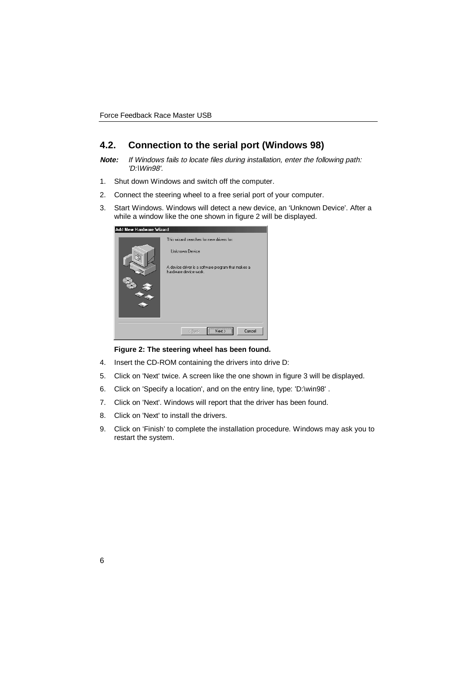#### **4.2. Connection to the serial port (Windows 98)**

**Note:** If Windows fails to locate files during installation, enter the following path: 'D:\Win98'.

- 1. Shut down Windows and switch off the computer.
- 2. Connect the steering wheel to a free serial port of your computer.
- 3. Start Windows. Windows will detect a new device, an 'Unknown Device'. After a while a window like the one shown in figure 2 will be displayed.

| Add New Hardware Wizard |                                                                                                                                                   |
|-------------------------|---------------------------------------------------------------------------------------------------------------------------------------------------|
|                         | This wizard searches for new drivers for:<br><b>Unknown Device</b><br>A device driver is a software program that makes a<br>hardware device work. |
|                         | <br>Cancel<br>< Back                                                                                                                              |

#### **Figure 2: The steering wheel has been found.**

- 4. Insert the CD-ROM containing the drivers into drive D:
- 5. Click on 'Next' twice. A screen like the one shown in figure 3 will be displayed.
- 6. Click on 'Specify a location', and on the entry line, type: 'D:\win98' .
- 7. Click on 'Next'. Windows will report that the driver has been found.
- 8. Click on 'Next' to install the drivers.
- 9. Click on 'Finish' to complete the installation procedure. Windows may ask you to restart the system.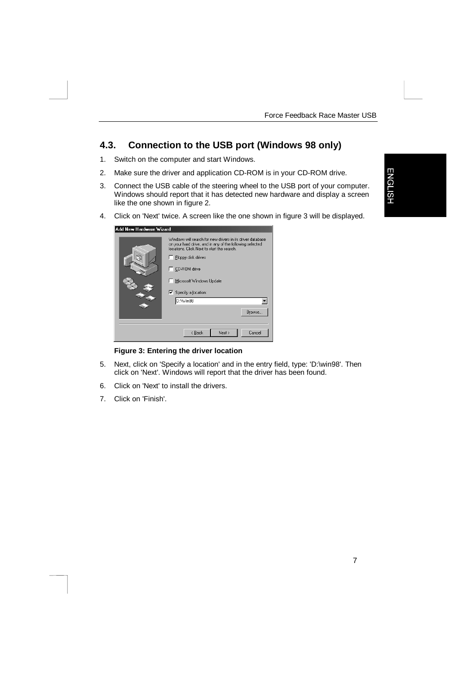**ENGLISH** 

7

#### **4.3. Connection to the USB port (Windows 98 only)**

- 1. Switch on the computer and start Windows.
- 2. Make sure the driver and application CD-ROM is in your CD-ROM drive.
- 3. Connect the USB cable of the steering wheel to the USB port of your computer. Windows should report that it has detected new hardware and display a screen like the one shown in figure 2.
- 4. Click on 'Next' twice. A screen like the one shown in figure 3 will be displayed.

| Click on 'Next' twice. A screen like the one shown |                                                                                                                                                                                                                                                                                              |  |  |  |  |  |
|----------------------------------------------------|----------------------------------------------------------------------------------------------------------------------------------------------------------------------------------------------------------------------------------------------------------------------------------------------|--|--|--|--|--|
| Add New Hardware Wizard                            |                                                                                                                                                                                                                                                                                              |  |  |  |  |  |
|                                                    | Windows will search for new drivers in its driver database<br>on your hard drive, and in any of the following selected<br>locations. Click Next to start the search.<br>$\Box$ Floppy disk drives<br>CD-ROM drive<br>Microsoft Windows Update<br>Ⅳ Specify a location:<br>D:\Win98<br>Browse |  |  |  |  |  |
|                                                    |                                                                                                                                                                                                                                                                                              |  |  |  |  |  |
|                                                    | Next ><br>Cancel<br>< Back                                                                                                                                                                                                                                                                   |  |  |  |  |  |

#### **Figure 3: Entering the driver location**

- 5. Next, click on 'Specify a location' and in the entry field, type: 'D:\win98'. Then click on 'Next'. Windows will report that the driver has been found.
- 6. Click on 'Next' to install the drivers.
- 7. Click on 'Finish'.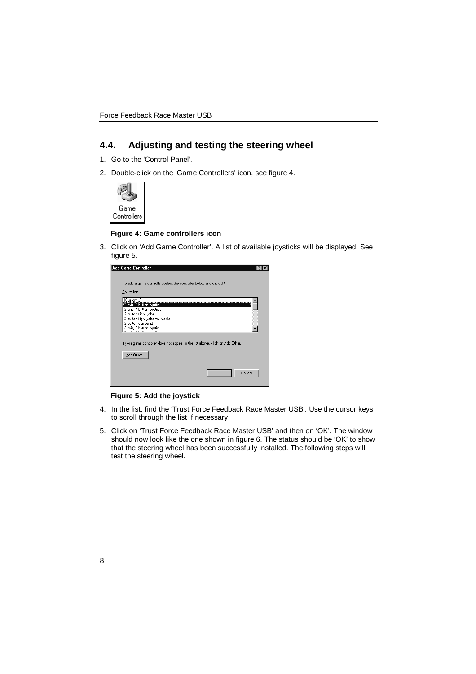### **4.4. Adjusting and testing the steering wheel**

- 1. Go to the 'Control Panel'.
- 2. Double-click on the 'Game Controllers' icon, see figure 4.



#### **Figure 4: Game controllers icon**

3. Click on 'Add Game Controller'. A list of available joysticks will be displayed. See figure 5.

| Add Game Controller                                                            |  |
|--------------------------------------------------------------------------------|--|
|                                                                                |  |
| To add a game controller, select the controller below and click OK.            |  |
| Controllers:                                                                   |  |
| [Custom]                                                                       |  |
| 2-axis, 2-button joystick<br>2-axis, 4-button joystick.                        |  |
| 2-button flight yoke                                                           |  |
| 2-button flight yoke w/throttle                                                |  |
| 2-button gamepad<br>3-axis, 2-button joystick                                  |  |
|                                                                                |  |
| If your game controller does not appear in the list above, click on Add Other. |  |
|                                                                                |  |
| Add Other                                                                      |  |
|                                                                                |  |
|                                                                                |  |
| Cancel<br>OK                                                                   |  |
|                                                                                |  |

#### **Figure 5: Add the joystick**

- 4. In the list, find the 'Trust Force Feedback Race Master USB'. Use the cursor keys to scroll through the list if necessary.
- 5. Click on 'Trust Force Feedback Race Master USB' and then on 'OK'. The window should now look like the one shown in figure 6. The status should be 'OK' to show that the steering wheel has been successfully installed. The following steps will test the steering wheel.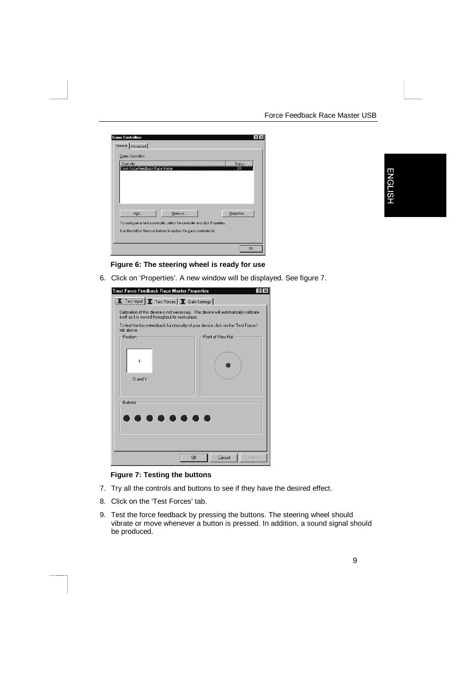#### Force Feedback Race Master USB

| <b>Game Controllers</b>                                                                                                                                              |                     |
|----------------------------------------------------------------------------------------------------------------------------------------------------------------------|---------------------|
| General Advanced                                                                                                                                                     |                     |
| <b>Game Controllers</b>                                                                                                                                              |                     |
| Controller<br>Trust Force Feedback Race Master                                                                                                                       | <b>Status</b><br>ÖK |
| Add<br>Remove<br>To configure or test a controller, select the controller and click Properties.<br>Use the Add or Remove buttons to update the game controller list. | Properties          |
|                                                                                                                                                                      | <b>OK</b>           |

# **ENGLISH**

#### **Figure 6: The steering wheel is ready for use**

6. Click on 'Properties'. A new window will be displayed. See figure 7.

| <b>Trust Force Feedback Race Master Properties</b>                                                                                      |                    |  |  |  |  |  |
|-----------------------------------------------------------------------------------------------------------------------------------------|--------------------|--|--|--|--|--|
| Test Input   T Test Forces   T Gain Settings                                                                                            |                    |  |  |  |  |  |
| Calibration of this device is not necessary. The device will automatically calibrate<br>itself as it is moved throughout its workspace. |                    |  |  |  |  |  |
| To test the force-feedback functionality of your device click on the 'Test Forces'<br>tab above.                                        |                    |  |  |  |  |  |
| Position:                                                                                                                               | Point of View Hat: |  |  |  |  |  |
| $\times$ and $\times$                                                                                                                   |                    |  |  |  |  |  |
| <b>Buttons:</b><br>.                                                                                                                    |                    |  |  |  |  |  |
| <b>OK</b>                                                                                                                               | Cancel<br>Apply    |  |  |  |  |  |

#### **Figure 7: Testing the buttons**

- 7. Try all the controls and buttons to see if they have the desired effect.
- 8. Click on the 'Test Forces' tab.
- 9. Test the force feedback by pressing the buttons. The steering wheel should vibrate or move whenever a button is pressed. In addition, a sound signal should be produced.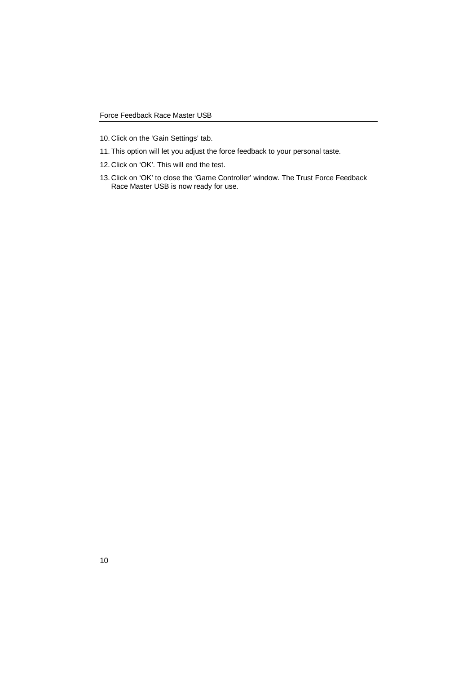- 10. Click on the 'Gain Settings' tab.
- 11. This option will let you adjust the force feedback to your personal taste.
- 12. Click on 'OK'. This will end the test.
- 13. Click on 'OK' to close the 'Game Controller' window. The Trust Force Feedback Race Master USB is now ready for use.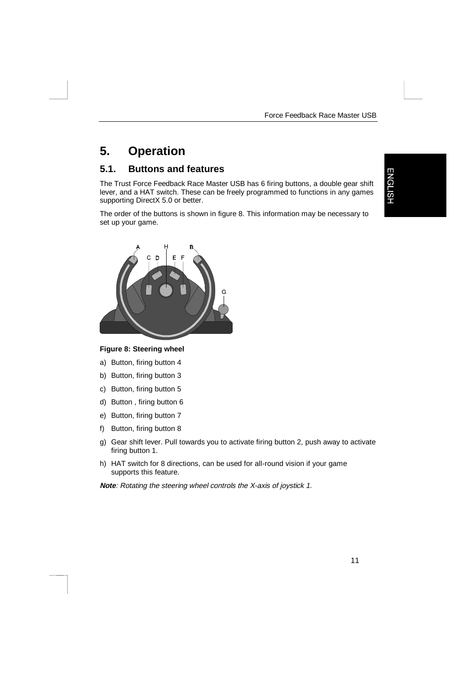## **5. Operation**

#### **5.1. Buttons and features**

The Trust Force Feedback Race Master USB has 6 firing buttons, a double gear shift lever, and a HAT switch. These can be freely programmed to functions in any games supporting DirectX 5.0 or better.

The order of the buttons is shown in figure 8. This information may be necessary to set up your game.

**ENGLISH** 



#### **Figure 8: Steering wheel**

- a) Button, firing button 4
- b) Button, firing button 3
- c) Button, firing button 5
- d) Button , firing button 6
- e) Button, firing button 7
- f) Button, firing button 8
- g) Gear shift lever. Pull towards you to activate firing button 2, push away to activate firing button 1.
- h) HAT switch for 8 directions, can be used for all-round vision if your game supports this feature.

**Note**: Rotating the steering wheel controls the X-axis of joystick 1.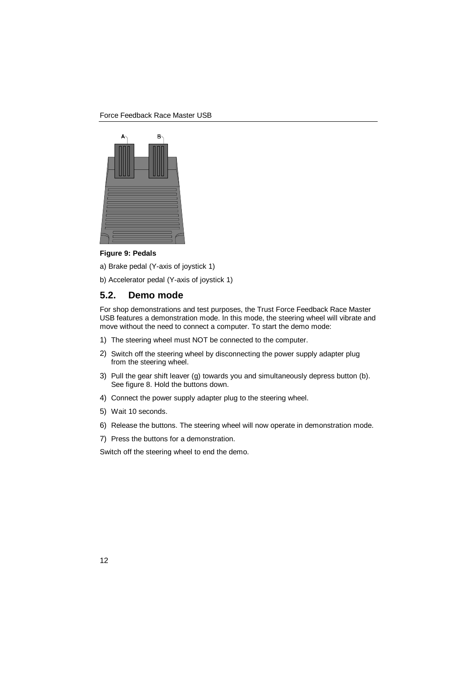

**Figure 9: Pedals**

a) Brake pedal (Y-axis of joystick 1)

b) Accelerator pedal (Y-axis of joystick 1)

#### **5.2. Demo mode**

For shop demonstrations and test purposes, the Trust Force Feedback Race Master USB features a demonstration mode. In this mode, the steering wheel will vibrate and move without the need to connect a computer. To start the demo mode:

- 1) The steering wheel must NOT be connected to the computer.
- 2) Switch off the steering wheel by disconnecting the power supply adapter plug from the steering wheel.
- 3) Pull the gear shift leaver (g) towards you and simultaneously depress button (b). See figure 8. Hold the buttons down.
- 4) Connect the power supply adapter plug to the steering wheel.
- 5) Wait 10 seconds.
- 6) Release the buttons. The steering wheel will now operate in demonstration mode.
- 7) Press the buttons for a demonstration.

Switch off the steering wheel to end the demo.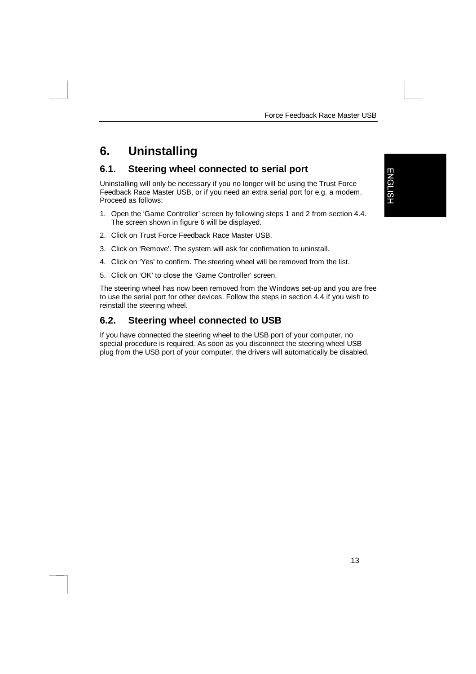## **6. Uninstalling**

#### **6.1. Steering wheel connected to serial port**

Uninstalling will only be necessary if you no longer will be using the Trust Force Feedback Race Master USB, or if you need an extra serial port for e.g. a modem. Proceed as follows:

- 1. Open the 'Game Controller' screen by following steps 1 and 2 from section 4.4. The screen shown in figure 6 will be displayed.
- 2. Click on Trust Force Feedback Race Master USB.
- 3. Click on 'Remove'. The system will ask for confirmation to uninstall.
- 4. Click on 'Yes' to confirm. The steering wheel will be removed from the list.
- 5. Click on 'OK' to close the 'Game Controller' screen.

The steering wheel has now been removed from the Windows set-up and you are free to use the serial port for other devices. Follow the steps in section 4.4 if you wish to reinstall the steering wheel.

#### **6.2. Steering wheel connected to USB**

If you have connected the steering wheel to the USB port of your computer, no special procedure is required. As soon as you disconnect the steering wheel USB plug from the USB port of your computer, the drivers will automatically be disabled.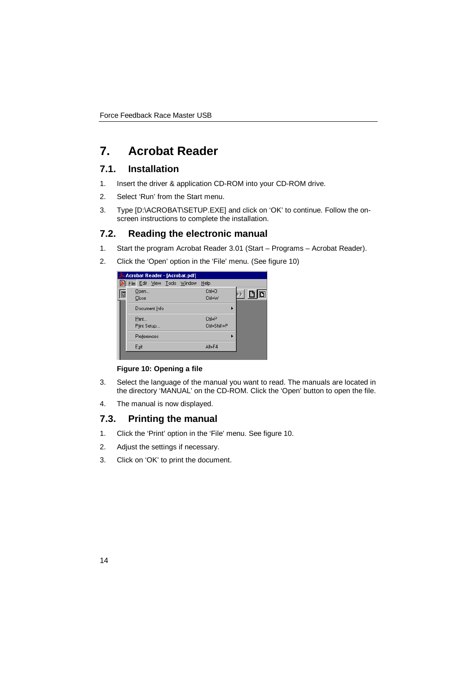## **7. Acrobat Reader**

#### **7.1. Installation**

- 1. Insert the driver & application CD-ROM into your CD-ROM drive.
- 2. Select 'Run' from the Start menu.
- 3. Type [D:\ACROBAT\SETUP.EXE] and click on 'OK' to continue. Follow the onscreen instructions to complete the installation.

#### **7.2. Reading the electronic manual**

- 1. Start the program Acrobat Reader 3.01 (Start Programs Acrobat Reader).
- 2. Click the 'Open' option in the 'File' menu. (See figure 10)

|   | Acrobat Reader - [Acrobat.pdf] |  |              |     |
|---|--------------------------------|--|--------------|-----|
|   | File Edit View Tools Window    |  | Help         |     |
| D | Open                           |  | Ctrl+0       | D D |
|   | Close                          |  | Ctrl+W       |     |
|   | Document Info                  |  |              |     |
|   | Print                          |  | $C$ trl+ $P$ |     |
|   | Print Setup                    |  | Ctrl+Shift+P |     |
|   | Preferences                    |  |              |     |
|   | Exit                           |  | Alt+F4       |     |
|   |                                |  |              |     |

**Figure 10: Opening a file**

- 3. Select the language of the manual you want to read. The manuals are located in the directory 'MANUAL' on the CD-ROM. Click the 'Open' button to open the file.
- 4. The manual is now displayed.

#### **7.3. Printing the manual**

- 1. Click the 'Print' option in the 'File' menu. See figure 10.
- 2. Adjust the settings if necessary.
- 3. Click on 'OK' to print the document.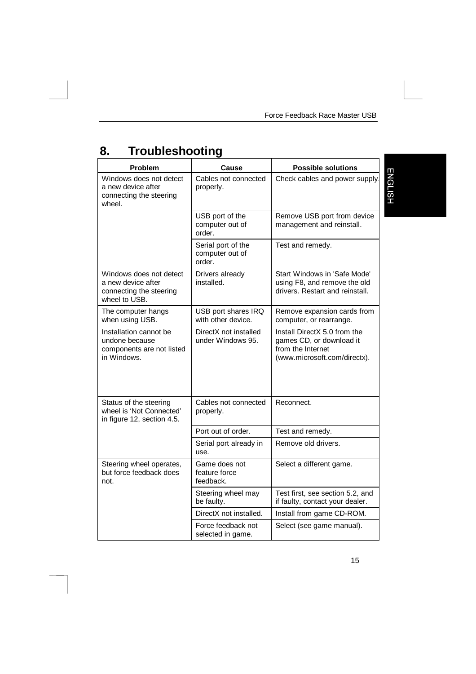# **8. Troubleshooting**

| Problem                                                                                   | Cause                                           | <b>Possible solutions</b>                                                                                     |
|-------------------------------------------------------------------------------------------|-------------------------------------------------|---------------------------------------------------------------------------------------------------------------|
| Windows does not detect<br>a new device after<br>connecting the steering<br>wheel.        | Cables not connected<br>properly.               | Check cables and power supply                                                                                 |
|                                                                                           | USB port of the<br>computer out of<br>order.    | Remove USB port from device<br>management and reinstall.                                                      |
|                                                                                           | Serial port of the<br>computer out of<br>order. | Test and remedy.                                                                                              |
| Windows does not detect<br>a new device after<br>connecting the steering<br>wheel to USB. | Drivers already<br>installed.                   | Start Windows in 'Safe Mode'<br>using F8, and remove the old<br>drivers. Restart and reinstall.               |
| The computer hangs<br>when using USB.                                                     | USB port shares IRQ<br>with other device.       | Remove expansion cards from<br>computer, or rearrange.                                                        |
| Installation cannot be<br>undone because<br>components are not listed<br>in Windows.      | DirectX not installed<br>under Windows 95.      | Install DirectX 5.0 from the<br>games CD, or download it<br>from the Internet<br>(www.microsoft.com/directx). |
| Status of the steering<br>wheel is 'Not Connected'<br>in figure 12, section 4.5.          | Cables not connected<br>properly.               | Reconnect.                                                                                                    |
|                                                                                           | Port out of order.                              | Test and remedy.                                                                                              |
|                                                                                           | Serial port already in<br>use.                  | Remove old drivers.                                                                                           |
| Steering wheel operates,<br>but force feedback does<br>not.                               | Game does not<br>feature force<br>feedback.     | Select a different game.                                                                                      |
|                                                                                           | Steering wheel may<br>be faulty.                | Test first, see section 5.2, and<br>if faulty, contact your dealer.                                           |
|                                                                                           | DirectX not installed.                          | Install from game CD-ROM.                                                                                     |
|                                                                                           | Force feedback not<br>selected in game.         | Select (see game manual).                                                                                     |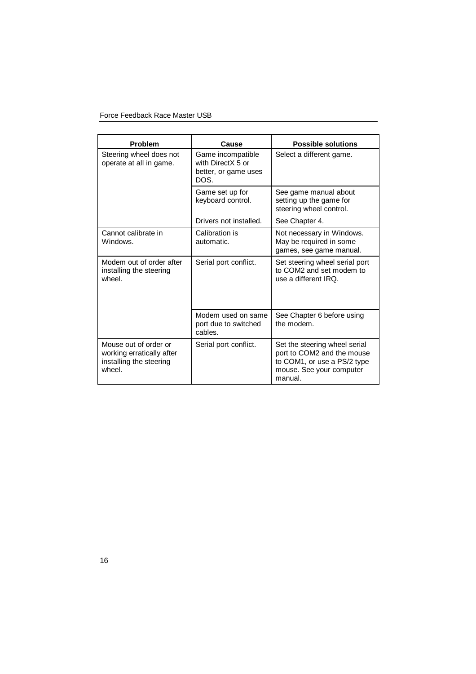#### Force Feedback Race Master USB

| <b>Problem</b>                                                                          | Cause                                                                  | <b>Possible solutions</b>                                                                                                         |
|-----------------------------------------------------------------------------------------|------------------------------------------------------------------------|-----------------------------------------------------------------------------------------------------------------------------------|
| Steering wheel does not<br>operate at all in game.                                      | Game incompatible<br>with DirectX 5 or<br>better, or game uses<br>DOS. | Select a different game.                                                                                                          |
|                                                                                         | Game set up for<br>keyboard control.                                   | See game manual about<br>setting up the game for<br>steering wheel control.                                                       |
|                                                                                         | Drivers not installed.                                                 | See Chapter 4.                                                                                                                    |
| Cannot calibrate in<br>Windows.                                                         | Calibration is<br>automatic.                                           | Not necessary in Windows.<br>May be required in some<br>games, see game manual.                                                   |
| Modem out of order after<br>installing the steering<br>wheel.                           | Serial port conflict.                                                  | Set steering wheel serial port<br>to COM2 and set modem to<br>use a different IRQ.                                                |
|                                                                                         | Modem used on same<br>port due to switched<br>cables.                  | See Chapter 6 before using<br>the modem.                                                                                          |
| Mouse out of order or<br>working erratically after<br>installing the steering<br>wheel. | Serial port conflict.                                                  | Set the steering wheel serial<br>port to COM2 and the mouse<br>to COM1, or use a PS/2 type<br>mouse. See your computer<br>manual. |